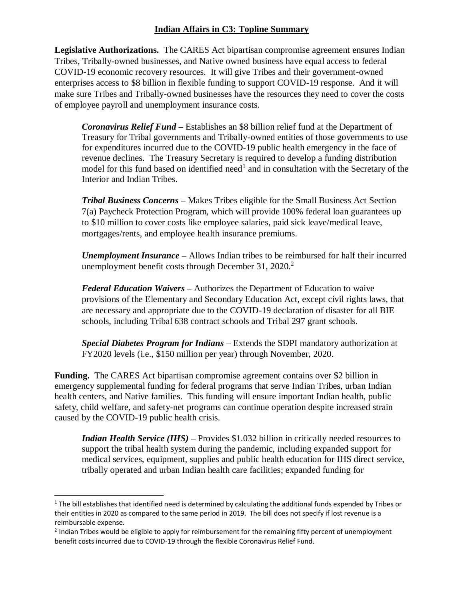#### **Indian Affairs in C3: Topline Summary**

**Legislative Authorizations.** The CARES Act bipartisan compromise agreement ensures Indian Tribes, Tribally-owned businesses, and Native owned business have equal access to federal COVID-19 economic recovery resources. It will give Tribes and their government-owned enterprises access to \$8 billion in flexible funding to support COVID-19 response. And it will make sure Tribes and Tribally-owned businesses have the resources they need to cover the costs of employee payroll and unemployment insurance costs.

*Coronavirus Relief Fund –* Establishes an \$8 billion relief fund at the Department of Treasury for Tribal governments and Tribally-owned entities of those governments to use for expenditures incurred due to the COVID-19 public health emergency in the face of revenue declines. The Treasury Secretary is required to develop a funding distribution model for this fund based on identified need<sup>1</sup> and in consultation with the Secretary of the Interior and Indian Tribes.

*Tribal Business Concerns –* Makes Tribes eligible for the Small Business Act Section 7(a) Paycheck Protection Program, which will provide 100% federal loan guarantees up to \$10 million to cover costs like employee salaries, paid sick leave/medical leave, mortgages/rents, and employee health insurance premiums.

*Unemployment Insurance –* Allows Indian tribes to be reimbursed for half their incurred unemployment benefit costs through December 31, 2020.<sup>2</sup>

*Federal Education Waivers –* Authorizes the Department of Education to waive provisions of the Elementary and Secondary Education Act, except civil rights laws, that are necessary and appropriate due to the COVID-19 declaration of disaster for all BIE schools, including Tribal 638 contract schools and Tribal 297 grant schools.

*Special Diabetes Program for Indians* – Extends the SDPI mandatory authorization at FY2020 levels (i.e., \$150 million per year) through November, 2020.

**Funding.** The CARES Act bipartisan compromise agreement contains over \$2 billion in emergency supplemental funding for federal programs that serve Indian Tribes, urban Indian health centers, and Native families. This funding will ensure important Indian health, public safety, child welfare, and safety-net programs can continue operation despite increased strain caused by the COVID-19 public health crisis.

*Indian Health Service (IHS)* – Provides \$1.032 billion in critically needed resources to support the tribal health system during the pandemic, including expanded support for medical services, equipment, supplies and public health education for IHS direct service, tribally operated and urban Indian health care facilities; expanded funding for

 $\overline{\phantom{a}}$ 

 $1$  The bill establishes that identified need is determined by calculating the additional funds expended by Tribes or their entities in 2020 as compared to the same period in 2019. The bill does not specify if lost revenue is a reimbursable expense.

<sup>&</sup>lt;sup>2</sup> Indian Tribes would be eligible to apply for reimbursement for the remaining fifty percent of unemployment benefit costs incurred due to COVID-19 through the flexible Coronavirus Relief Fund.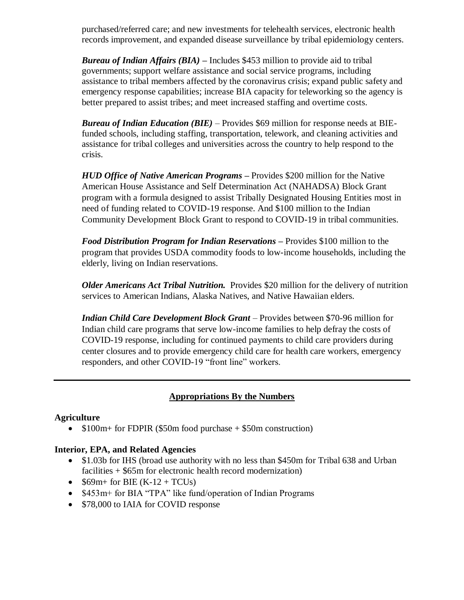purchased/referred care; and new investments for telehealth services, electronic health records improvement, and expanded disease surveillance by tribal epidemiology centers.

*Bureau of Indian Affairs (BIA) –* Includes \$453 million to provide aid to tribal governments; support welfare assistance and social service programs, including assistance to tribal members affected by the coronavirus crisis; expand public safety and emergency response capabilities; increase BIA capacity for teleworking so the agency is better prepared to assist tribes; and meet increased staffing and overtime costs.

*Bureau of Indian Education (BIE)* – Provides \$69 million for response needs at BIEfunded schools, including staffing, transportation, telework, and cleaning activities and assistance for tribal colleges and universities across the country to help respond to the crisis.

*HUD Office of Native American Programs –* Provides \$200 million for the Native American House Assistance and Self Determination Act (NAHADSA) Block Grant program with a formula designed to assist Tribally Designated Housing Entities most in need of funding related to COVID-19 response. And \$100 million to the Indian Community Development Block Grant to respond to COVID-19 in tribal communities.

*Food Distribution Program for Indian Reservations –* Provides \$100 million to the program that provides USDA commodity foods to low-income households, including the elderly, living on Indian reservations.

*Older Americans Act Tribal Nutrition.* Provides \$20 million for the delivery of nutrition services to American Indians, Alaska Natives, and Native Hawaiian elders.

*Indian Child Care Development Block Grant –* Provides between \$70-96 million for Indian child care programs that serve low-income families to help defray the costs of COVID-19 response, including for continued payments to child care providers during center closures and to provide emergency child care for health care workers, emergency responders, and other COVID-19 "front line" workers.

### **Appropriations By the Numbers**

### **Agriculture**

 $\bullet$  \$100m+ for FDPIR (\$50m food purchase  $+$  \$50m construction)

#### **Interior, EPA, and Related Agencies**

- \$1.03b for IHS (broad use authority with no less than \$450m for Tribal 638 and Urban facilities + \$65m for electronic health record modernization)
- $\bullet$  \$69m+ for BIE (K-12 + TCUs)
- \$453m+ for BIA "TPA" like fund/operation of Indian Programs
- \$78,000 to IAIA for COVID response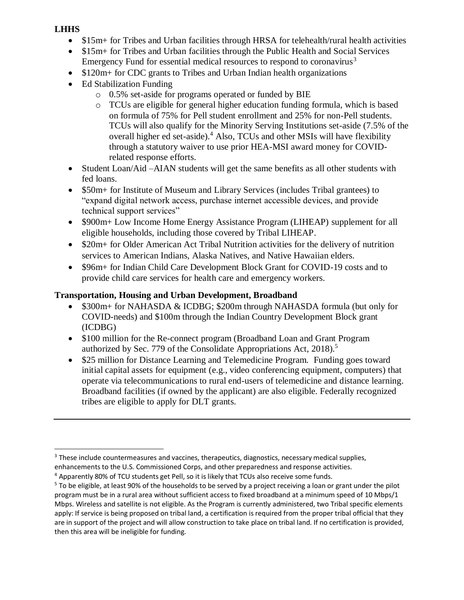### **LHHS**

 $\overline{a}$ 

- \$15m+ for Tribes and Urban facilities through HRSA for telehealth/rural health activities
- \$15m+ for Tribes and Urban facilities through the Public Health and Social Services Emergency Fund for essential medical resources to respond to coronavirus<sup>3</sup>
- $\bullet$  \$120m + for CDC grants to Tribes and Urban Indian health organizations
- Ed Stabilization Funding
	- o 0.5% set-aside for programs operated or funded by BIE
	- o TCUs are eligible for general higher education funding formula, which is based on formula of 75% for Pell student enrollment and 25% for non-Pell students. TCUs will also qualify for the Minority Serving Institutions set-aside (7.5% of the overall higher ed set-aside).<sup>4</sup> Also, TCUs and other MSIs will have flexibility through a statutory waiver to use prior HEA-MSI award money for COVIDrelated response efforts.
- Student Loan/Aid –AIAN students will get the same benefits as all other students with fed loans.
- \$50m+ for Institute of Museum and Library Services (includes Tribal grantees) to "expand digital network access, purchase internet accessible devices, and provide technical support services"
- \$900m+ Low Income Home Energy Assistance Program (LIHEAP) supplement for all eligible households, including those covered by Tribal LIHEAP.
- \$20m+ for Older American Act Tribal Nutrition activities for the delivery of nutrition services to American Indians, Alaska Natives, and Native Hawaiian elders.
- \$96m+ for Indian Child Care Development Block Grant for COVID-19 costs and to provide child care services for health care and emergency workers.

# **Transportation, Housing and Urban Development, Broadband**

- \$300m+ for NAHASDA & ICDBG; \$200m through NAHASDA formula (but only for COVID-needs) and \$100m through the Indian Country Development Block grant (ICDBG)
- \$100 million for the Re-connect program (Broadband Loan and Grant Program authorized by Sec. 779 of the Consolidate Appropriations Act, 2018).<sup>5</sup>
- \$25 million for Distance Learning and Telemedicine Program. Funding goes toward initial capital assets for equipment (e.g., video conferencing equipment, computers) that operate via telecommunications to rural end-users of telemedicine and distance learning. Broadband facilities (if owned by the applicant) are also eligible. Federally recognized tribes are eligible to apply for DLT grants.

<sup>&</sup>lt;sup>3</sup> These include countermeasures and vaccines, therapeutics, diagnostics, necessary medical supplies, enhancements to the U.S. Commissioned Corps, and other preparedness and response activities.

<sup>4</sup> Apparently 80% of TCU students get Pell, so it is likely that TCUs also receive some funds.

<sup>5</sup> To be eligible, at least 90% of the households to be served by a project receiving a loan or grant under the pilot program must be in a rural area without sufficient access to fixed broadband at a minimum speed of 10 Mbps/1 Mbps. Wireless and satellite is not eligible. As the Program is currently administered, two Tribal specific elements apply: If service is being proposed on tribal land, a certification is required from the proper tribal official that they are in support of the project and will allow construction to take place on tribal land. If no certification is provided, then this area will be ineligible for funding.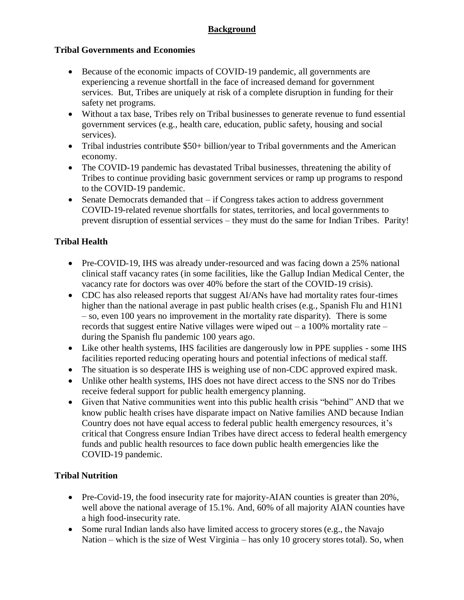# **Background**

#### **Tribal Governments and Economies**

- Because of the economic impacts of COVID-19 pandemic, all governments are experiencing a revenue shortfall in the face of increased demand for government services. But, Tribes are uniquely at risk of a complete disruption in funding for their safety net programs.
- Without a tax base, Tribes rely on Tribal businesses to generate revenue to fund essential government services (e.g., health care, education, public safety, housing and social services).
- Tribal industries contribute \$50+ billion/year to Tribal governments and the American economy.
- The COVID-19 pandemic has devastated Tribal businesses, threatening the ability of Tribes to continue providing basic government services or ramp up programs to respond to the COVID-19 pandemic.
- Senate Democrats demanded that if Congress takes action to address government COVID-19-related revenue shortfalls for states, territories, and local governments to prevent disruption of essential services – they must do the same for Indian Tribes. Parity!

### **Tribal Health**

- Pre-COVID-19, IHS was already under-resourced and was facing down a 25% national clinical staff vacancy rates (in some facilities, like the Gallup Indian Medical Center, the vacancy rate for doctors was over 40% before the start of the COVID-19 crisis).
- CDC has also released reports that suggest AI/ANs have had mortality rates four-times higher than the national average in past public health crises (e.g., Spanish Flu and H1N1 – so, even 100 years no improvement in the mortality rate disparity). There is some records that suggest entire Native villages were wiped out  $- a 100\%$  mortality rate  $$ during the Spanish flu pandemic 100 years ago.
- Like other health systems, IHS facilities are dangerously low in PPE supplies some IHS facilities reported reducing operating hours and potential infections of medical staff.
- The situation is so desperate IHS is weighing use of non-CDC approved expired mask.
- Unlike other health systems, IHS does not have direct access to the SNS nor do Tribes receive federal support for public health emergency planning.
- Given that Native communities went into this public health crisis "behind" AND that we know public health crises have disparate impact on Native families AND because Indian Country does not have equal access to federal public health emergency resources, it's critical that Congress ensure Indian Tribes have direct access to federal health emergency funds and public health resources to face down public health emergencies like the COVID-19 pandemic.

### **Tribal Nutrition**

- Pre-Covid-19, the food insecurity rate for majority-AIAN counties is greater than 20%, well above the national average of 15.1%. And, 60% of all majority AIAN counties have a high food-insecurity rate.
- Some rural Indian lands also have limited access to grocery stores (e.g., the Navajo Nation – which is the size of West Virginia – has only 10 grocery stores total). So, when